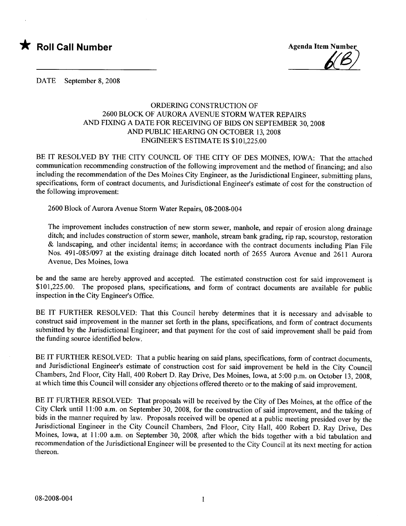\* Roll Call Number Agenda Item Number



DATE September 8, 2008

## ORDERING CONSTRUCTION OF 2600 BLOCK OF AURORA AVENUE STORM WATER REPAIRS AND FIXING A DATE FOR RECEIVING OF BIDS ON SEPTEMBER 30, 2008 AND PUBLIC HEARING ON OCTOBER 13, 2008 ENGINEER'S ESTIMATE IS \$101,225.00

BE IT RESOLVED BY THE CITY COUNCIL OF THE CITY OF DES MOINES, IOWA: That the attached communication recommending construction of the following improvement and the method of financing; and also including the recommendation of the Des Moines City Engineer, as the Jurisdictional Engineer, submitting plans, specifications, form of contract documents, and Jurisdictional Engineer's estimate of cost for the construction of the following improvement:

2600 Block of Aurora Avenue Storm Water Repairs, 08-2008-004

The improvement includes construction of new storm sewer, manhole, and repair of erosion along drainage ditch; and includes construction of storm sewer, manhole, stream bank grading, rip rap, scourstop, restoration & landscaping, and other incidental items; in accordance with the contract documents including Plan File Nos. 491-085/097 at the existing drainage ditch located north of 2655 Aurora Avenue and 2611 Aurora Avenue, Des Moines, Iowa

be and the same are hereby approved and accepted. The estimated construction cost for said improvement is \$101,225.00. The proposed plans, specifications, and form of contract documents are available for public inspection in the City Engineer's Office.

BE IT FURTHER RESOLVED: That this Council hereby determines that it is necessary and advisable to construct said improvement in the manner set forth in the plans, specifications, and form of contract documents submitted by the Jurisdictional Engineer; and that payment for the cost of said improvement shall be paid from the funding source identified below.

BE IT FURTHER RESOLVED: That a public hearing on said plans, specifications, form of contract documents, and Jurisdictional Engineer's estimate of construction cost for said improvement be held in the City Council Chambers, 2nd Floor, City Hall, 400 Robert D. Ray Drive, Des Moines, Iowa, at 5:00 p.m. on October 13,2008, at which time this Council will consider any objections offered thereto or to the making of said improvement.

BE IT FURTHER RESOLVED: That proposals will be received by the City of Des Moines, at the office of the City Clerk until 11 :00 a.m. on September 30, 2008, for the construction of said improvement, and the taking of bids in the manner required by law. Proposals received will be opened at a public meeting presided over by the Jurisdictional Engineer in the City Council Chambers, 2nd Floor, City Hall, 400 Robert D. Ray Drive, Des Moines, Iowa, at 11:00 a.m. on September 30, 2008, after which the bids together with a bid tabulation and recommendation of the Jurisdictional Engineer will be presented to the City Council at its next meeting for action thereon.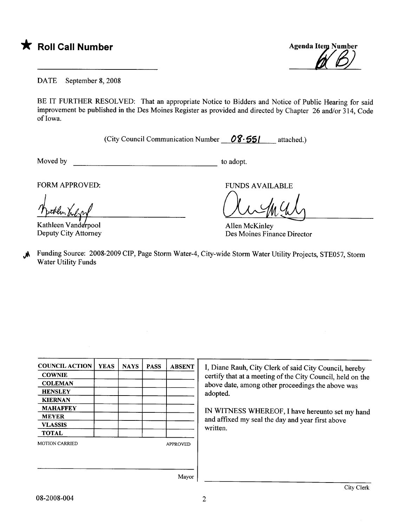\* Roll Call Number Agenda Item Number



DATE September 8, 2008

BE IT FURTHER RESOLVED: That an appropriate Notice to Bidders and Notice of Public Hearing for said improvement be published in the Des Moines Register as provided and directed by Chapter 26 and/or 314, Code of Iowa.

(City Council Communication Number  $08.551$  attached.)

Moved by to adopt.

FORM APPROVED:

Kathleen Vanderpool Deputy City Attorney

FUNDS AVAILABLE

augus

Allen McKinley Des Moines Finance Director

.**A** Funding Source: 2008-2009 CIP, Page Storm Water-4, City-wide Storm Water Utility Projects, STE057, Storm Water Utility Funds

| <b>COUNCIL ACTION</b> | <b>YEAS</b> | <b>NAYS</b> | <b>PASS</b>     | <b>ABSENT</b> |
|-----------------------|-------------|-------------|-----------------|---------------|
| <b>COWNIE</b>         |             |             |                 |               |
| <b>COLEMAN</b>        |             |             |                 |               |
| <b>HENSLEY</b>        |             |             |                 |               |
| <b>KIERNAN</b>        |             |             |                 |               |
| <b>MAHAFFEY</b>       |             |             |                 |               |
| <b>MEYER</b>          |             |             |                 |               |
| <b>VLASSIS</b>        |             |             |                 |               |
| <b>TOTAL</b>          |             |             |                 |               |
| <b>MOTION CARRIED</b> |             |             | <b>APPROVED</b> |               |
|                       |             |             |                 |               |
|                       |             |             |                 |               |

I, Diane Rauh, City Clerk of said City Council, hereby certify that at a meeting of the City Council, held on the above date, among other proceedings the above was adopted.

IN WITNESS WHREOF, I have hereunto set my hand and affixed my seal the day and year first above written.

Mayor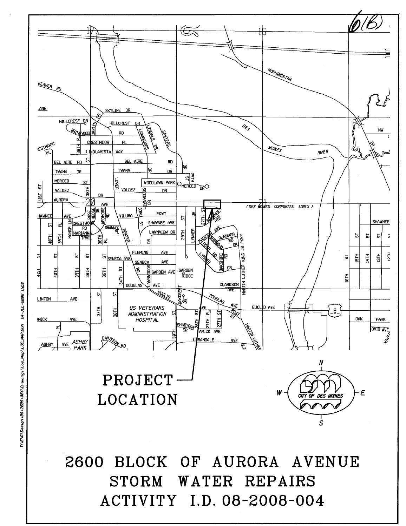

**2600 BLOCK** OF AURORA AVENUE STORM WATER REPAIRS ACTIVITY I.D. 08-2008-004